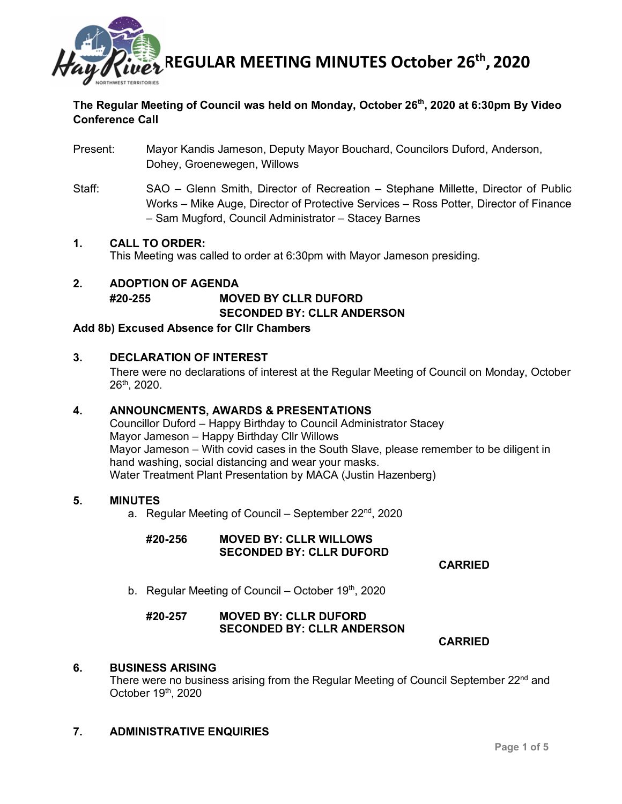

# **The Regular Meeting of Council was held on Monday, October 26th, 2020 at 6:30pm By Video Conference Call**

- Present: Mayor Kandis Jameson, Deputy Mayor Bouchard, Councilors Duford, Anderson, Dohey, Groenewegen, Willows
- Staff: SAO Glenn Smith, Director of Recreation Stephane Millette, Director of Public Works – Mike Auge, Director of Protective Services – Ross Potter, Director of Finance – Sam Mugford, Council Administrator – Stacey Barnes

## **1. CALL TO ORDER:**

This Meeting was called to order at 6:30pm with Mayor Jameson presiding.

## **2. ADOPTION OF AGENDA #20-255 MOVED BY CLLR DUFORD SECONDED BY: CLLR ANDERSON**

#### **Add 8b) Excused Absence for Cllr Chambers**

## **3. DECLARATION OF INTEREST**

There were no declarations of interest at the Regular Meeting of Council on Monday, October 26th, 2020.

#### **4. ANNOUNCMENTS, AWARDS & PRESENTATIONS**

Councillor Duford – Happy Birthday to Council Administrator Stacey Mayor Jameson – Happy Birthday Cllr Willows Mayor Jameson – With covid cases in the South Slave, please remember to be diligent in hand washing, social distancing and wear your masks. Water Treatment Plant Presentation by MACA (Justin Hazenberg)

#### **5. MINUTES**

a. Regular Meeting of Council – September  $22^{nd}$ , 2020

## **#20-256 MOVED BY: CLLR WILLOWS SECONDED BY: CLLR DUFORD**

**CARRIED**

b. Regular Meeting of Council – October  $19<sup>th</sup>$ , 2020

## **#20-257 MOVED BY: CLLR DUFORD SECONDED BY: CLLR ANDERSON**

**CARRIED**

#### **6. BUSINESS ARISING**

There were no business arising from the Regular Meeting of Council September 22<sup>nd</sup> and October 19th, 2020

## **7. ADMINISTRATIVE ENQUIRIES**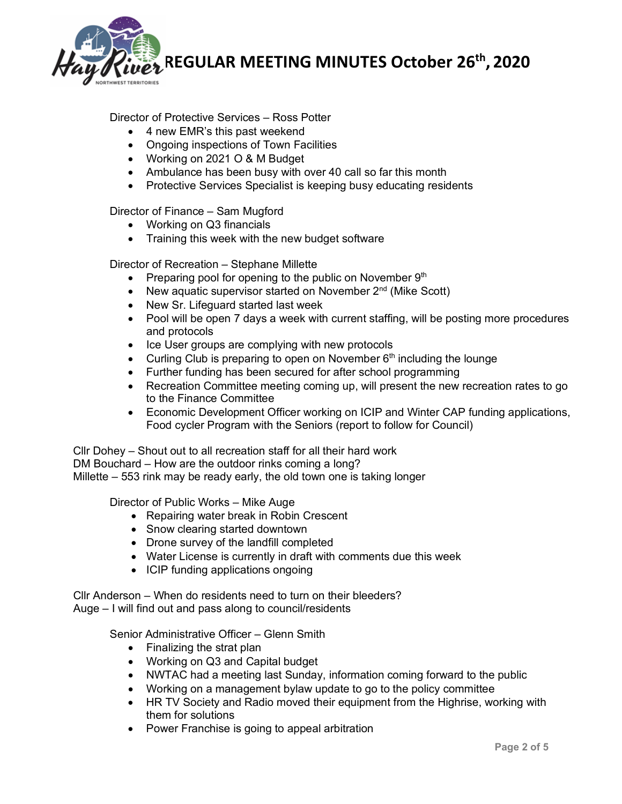

## Director of Protective Services – Ross Potter

- 4 new EMR's this past weekend
- Ongoing inspections of Town Facilities
- Working on 2021 O & M Budget
- Ambulance has been busy with over 40 call so far this month
- Protective Services Specialist is keeping busy educating residents

Director of Finance – Sam Mugford

- Working on Q3 financials
- Training this week with the new budget software

Director of Recreation – Stephane Millette

- Preparing pool for opening to the public on November  $9<sup>th</sup>$
- New aquatic supervisor started on November  $2^{nd}$  (Mike Scott)
- New Sr. Lifeguard started last week
- Pool will be open 7 days a week with current staffing, will be posting more procedures and protocols
- Ice User groups are complying with new protocols
- Curling Club is preparing to open on November  $6<sup>th</sup>$  including the lounge
- Further funding has been secured for after school programming
- Recreation Committee meeting coming up, will present the new recreation rates to go to the Finance Committee
- Economic Development Officer working on ICIP and Winter CAP funding applications, Food cycler Program with the Seniors (report to follow for Council)

Cllr Dohey – Shout out to all recreation staff for all their hard work DM Bouchard – How are the outdoor rinks coming a long? Millette – 553 rink may be ready early, the old town one is taking longer

Director of Public Works – Mike Auge

- Repairing water break in Robin Crescent
- Snow clearing started downtown
- Drone survey of the landfill completed
- Water License is currently in draft with comments due this week
- ICIP funding applications ongoing

Cllr Anderson – When do residents need to turn on their bleeders?

Auge – I will find out and pass along to council/residents

Senior Administrative Officer – Glenn Smith

- Finalizing the strat plan
- Working on Q3 and Capital budget
- NWTAC had a meeting last Sunday, information coming forward to the public
- Working on a management bylaw update to go to the policy committee
- HR TV Society and Radio moved their equipment from the Highrise, working with them for solutions
- Power Franchise is going to appeal arbitration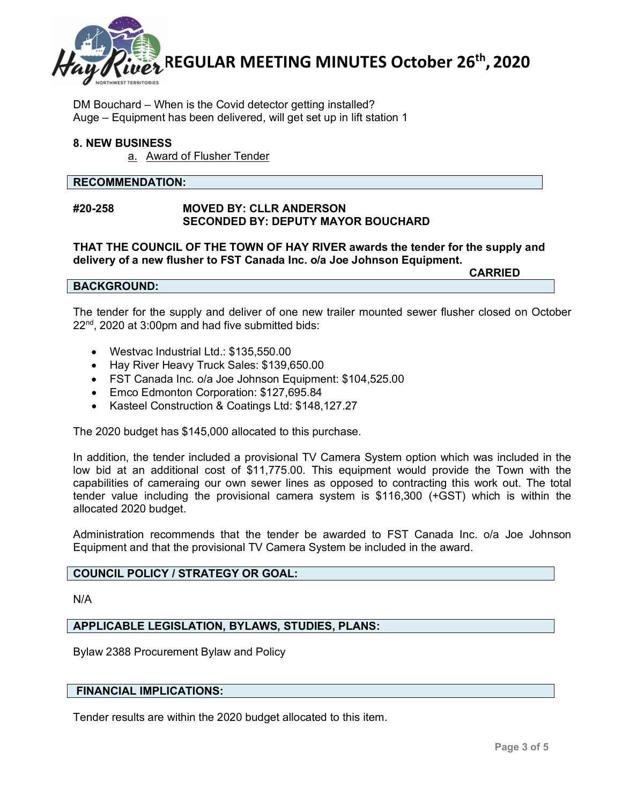

DM Bouchard – When is the Covid detector getting installed? Auge – Equipment has been delivered, will get set up in lift station 1

## **8. NEW BUSINESS**

a. Award of Flusher Tender

#### **RECOMMENDATION:**

#### **#20-258 MOVED BY: CLLR ANDERSON SECONDED BY: DEPUTY MAYOR BOUCHARD**

**THAT THE COUNCIL OF THE TOWN OF HAY RIVER awards the tender for the supply and delivery of a new flusher to FST Canada Inc. o/a Joe Johnson Equipment. CARRIED**

#### **BACKGROUND:**

The tender for the supply and deliver of one new trailer mounted sewer flusher closed on October  $22<sup>nd</sup>$ , 2020 at 3:00pm and had five submitted bids:

- Westvac Industrial Ltd.: \$135,550.00
- Hay River Heavy Truck Sales: \$139,650.00
- FST Canada Inc. o/a Joe Johnson Equipment: \$104,525.00
- Emco Edmonton Corporation: \$127,695.84
- Kasteel Construction & Coatings Ltd: \$148,127.27

The 2020 budget has \$145,000 allocated to this purchase.

In addition, the tender included a provisional TV Camera System option which was included in the low bid at an additional cost of \$11,775.00. This equipment would provide the Town with the capabilities of cameraing our own sewer lines as opposed to contracting this work out. The total tender value including the provisional camera system is \$116,300 (+GST) which is within the allocated 2020 budget.

Administration recommends that the tender be awarded to FST Canada Inc. o/a Joe Johnson Equipment and that the provisional TV Camera System be included in the award.

#### **COUNCIL POLICY / STRATEGY OR GOAL:**

N/A

#### **APPLICABLE LEGISLATION, BYLAWS, STUDIES, PLANS:**

Bylaw 2388 Procurement Bylaw and Policy

## **FINANCIAL IMPLICATIONS:**

Tender results are within the 2020 budget allocated to this item.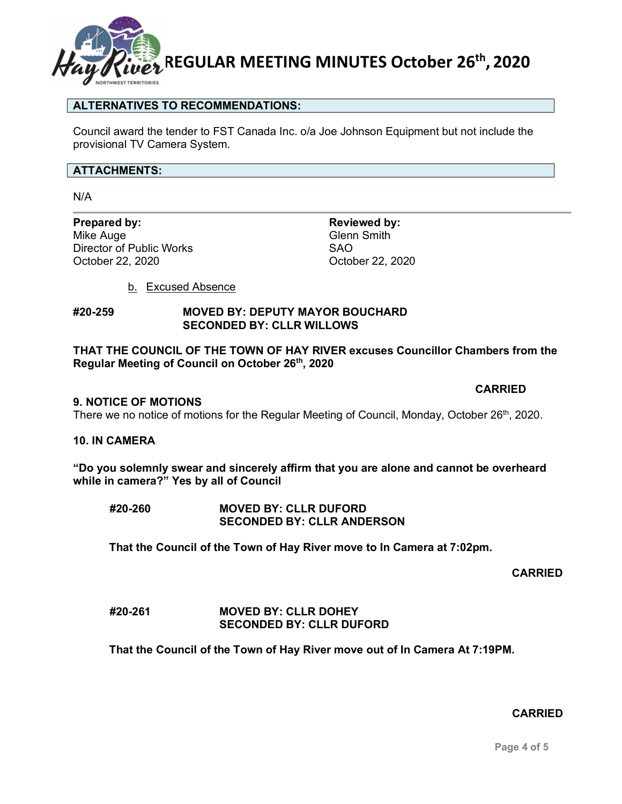

## **ALTERNATIVES TO RECOMMENDATIONS:**

Council award the tender to FST Canada Inc. o/a Joe Johnson Equipment but not include the provisional TV Camera System.

#### **ATTACHMENTS:**

N/A

**Prepared by: Reviewed by: Reviewed by: Reviewed by: Reviewed by: Reviewed by: Reviewed by: Reviewed by: Reviewed by: Reviewed by: Reviewed by: Reviewed by: Reviewed by: Reviewed by: Reviewed by** Director of Public Works SAO October 22, 2020 October 22, 2020

Glenn Smith

b. Excused Absence

#### **#20-259 MOVED BY: DEPUTY MAYOR BOUCHARD SECONDED BY: CLLR WILLOWS**

## **THAT THE COUNCIL OF THE TOWN OF HAY RIVER excuses Councillor Chambers from the Regular Meeting of Council on October 26th, 2020**

#### **9. NOTICE OF MOTIONS**

There we no notice of motions for the Regular Meeting of Council, Monday, October 26<sup>th</sup>, 2020.

#### **10. IN CAMERA**

**"Do you solemnly swear and sincerely affirm that you are alone and cannot be overheard while in camera?" Yes by all of Council** 

**#20-260 MOVED BY: CLLR DUFORD SECONDED BY: CLLR ANDERSON**

**That the Council of the Town of Hay River move to In Camera at 7:02pm.**

**CARRIED**

#### **#20-261 MOVED BY: CLLR DOHEY SECONDED BY: CLLR DUFORD**

**That the Council of the Town of Hay River move out of In Camera At 7:19PM.**

#### **CARRIED**

**CARRIED**